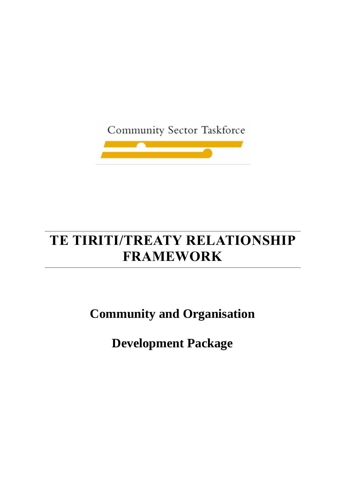Community Sector Taskforce



# **TE TIRITI/TREATY RELATIONSHIP FRAMEWORK**

**Community and Organisation**

**Development Package**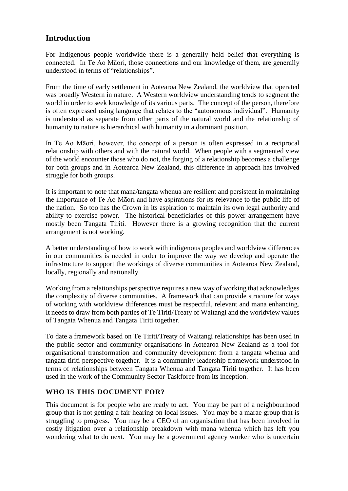# **Introduction**

For Indigenous people worldwide there is a generally held belief that everything is connected. In Te Ao Māori, those connections and our knowledge of them, are generally understood in terms of "relationships".

From the time of early settlement in Aotearoa New Zealand, the worldview that operated was broadly Western in nature. A Western worldview understanding tends to segment the world in order to seek knowledge of its various parts. The concept of the person, therefore is often expressed using language that relates to the "autonomous individual". Humanity is understood as separate from other parts of the natural world and the relationship of humanity to nature is hierarchical with humanity in a dominant position.

In Te Ao Māori, however, the concept of a person is often expressed in a reciprocal relationship with others and with the natural world. When people with a segmented view of the world encounter those who do not, the forging of a relationship becomes a challenge for both groups and in Aotearoa New Zealand, this difference in approach has involved struggle for both groups.

It is important to note that mana/tangata whenua are resilient and persistent in maintaining the importance of Te Ao Māori and have aspirations for its relevance to the public life of the nation. So too has the Crown in its aspiration to maintain its own legal authority and ability to exercise power. The historical beneficiaries of this power arrangement have mostly been Tangata Tiriti. However there is a growing recognition that the current arrangement is not working.

A better understanding of how to work with indigenous peoples and worldview differences in our communities is needed in order to improve the way we develop and operate the infrastructure to support the workings of diverse communities in Aotearoa New Zealand, locally, regionally and nationally.

Working from a relationships perspective requires a new way of working that acknowledges the complexity of diverse communities. A framework that can provide structure for ways of working with worldview differences must be respectful, relevant and mana enhancing. It needs to draw from both parties of Te Tiriti/Treaty of Waitangi and the worldview values of Tangata Whenua and Tangata Tiriti together.

To date a framework based on Te Tiriti/Treaty of Waitangi relationships has been used in the public sector and community organisations in Aotearoa New Zealand as a tool for organisational transformation and community development from a tangata whenua and tangata tiriti perspective together. It is a community leadership framework understood in terms of relationships between Tangata Whenua and Tangata Tiriti together. It has been used in the work of the Community Sector Taskforce from its inception.

# **WHO IS THIS DOCUMENT FOR?**

This document is for people who are ready to act. You may be part of a neighbourhood group that is not getting a fair hearing on local issues. You may be a marae group that is struggling to progress. You may be a CEO of an organisation that has been involved in costly litigation over a relationship breakdown with mana whenua which has left you wondering what to do next. You may be a government agency worker who is uncertain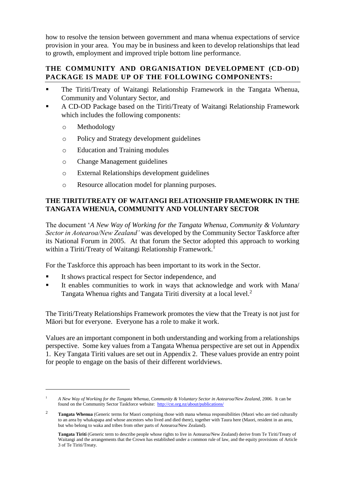how to resolve the tension between government and mana whenua expectations of service provision in your area. You may be in business and keen to develop relationships that lead to growth, employment and improved triple bottom line performance.

## **THE COMMUNITY AND ORGANISATION DEVELOPMENT (CD-OD) PACKAGE IS MADE UP OF THE FOLLOWING COMPONENTS:**

- The Tiriti/Treaty of Waitangi Relationship Framework in the Tangata Whenua, Community and Voluntary Sector, and
- A CD-OD Package based on the Tiriti/Treaty of Waitangi Relationship Framework which includes the following components:
	- o Methodology

 $\overline{a}$ 

- o Policy and Strategy development guidelines
- o Education and Training modules
- o Change Management guidelines
- o External Relationships development guidelines
- o Resource allocation model for planning purposes.

## **THE TIRITI/TREATY OF WAITANGI RELATIONSHIP FRAMEWORK IN THE TANGATA WHENUA, COMMUNITY AND VOLUNTARY SECTOR**

The document '*A New Way of Working for the Tangata Whenua, Community & Voluntary Sector in Aotearoa/New Zealand'* was developed by the Community Sector Taskforce after its National Forum in 2005. At that forum the Sector adopted this approach to working within a Tiriti/Treaty of Waitangi Relationship Framework.<sup>1</sup>

For the Taskforce this approach has been important to its work in the Sector.

- It shows practical respect for Sector independence, and
- It enables communities to work in ways that acknowledge and work with Mana/ Tangata Whenua rights and Tangata Tiriti diversity at a local level. $2$

The Tiriti/Treaty Relationships Framework promotes the view that the Treaty is not just for Māori but for everyone. Everyone has a role to make it work.

Values are an important component in both understanding and working from a relationships perspective. Some key values from a Tangata Whenua perspective are set out in Appendix 1. Key Tangata Tiriti values are set out in Appendix 2. These values provide an entry point for people to engage on the basis of their different worldviews.

<sup>1</sup> *A New Way of Working for the Tangata Whenua, Community & Voluntary Sector in Aotearoa/New Zealand,* 2006. It can be found on the Community Sector Taskforce website:<http://cst.org.nz/about/publications/>

<sup>&</sup>lt;sup>2</sup> **Tangata Whenua** (Generic terms for Maori comprising those with mana whenua responsibilities (Maori who are tied culturally to an area by whakapapa and whose ancestors who lived and died there), together with Taura here (Maori, resident in an area, but who belong to waka and tribes from other parts of Aotearoa/New Zealand).

**Tangata Tiriti** (Generic term to describe people whose rights to live in Aotearoa/New Zealand) derive from Te Tiriti/Treaty of Waitangi and the arrangements that the Crown has established under a common rule of law, and the equity provisions of Article 3 of Te Tiriti/Treaty.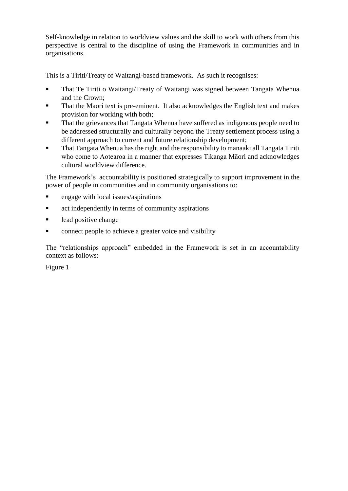Self-knowledge in relation to worldview values and the skill to work with others from this perspective is central to the discipline of using the Framework in communities and in organisations.

This is a Tiriti/Treaty of Waitangi-based framework. As such it recognises:

- That Te Tiriti o Waitangi/Treaty of Waitangi was signed between Tangata Whenua and the Crown;
- That the Maori text is pre-eminent. It also acknowledges the English text and makes provision for working with both;
- That the grievances that Tangata Whenua have suffered as indigenous people need to be addressed structurally and culturally beyond the Treaty settlement process using a different approach to current and future relationship development;
- That Tangata Whenua has the right and the responsibility to manaaki all Tangata Tiriti who come to Aotearoa in a manner that expresses Tikanga Māori and acknowledges cultural worldview difference.

The Framework's accountability is positioned strategically to support improvement in the power of people in communities and in community organisations to:

- engage with local issues/aspirations
- **active independently in terms of community aspirations**
- lead positive change
- connect people to achieve a greater voice and visibility

The "relationships approach" embedded in the Framework is set in an accountability context as follows:

Figure 1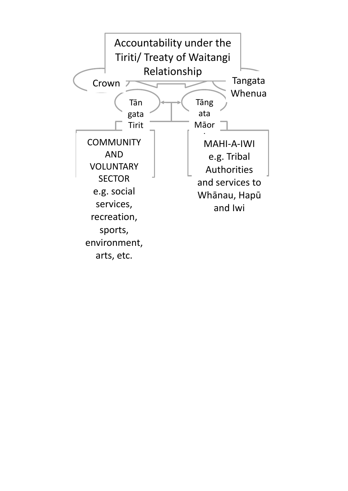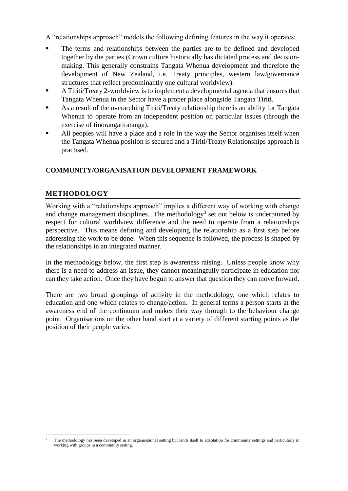A "relationships approach" models the following defining features in the way it operates:

- The terms and relationships between the parties are to be defined and developed together by the parties (Crown culture historically has dictated process and decisionmaking. This generally constrains Tangata Whenua development and therefore the development of New Zealand, i.e. Treaty principles, western law/governance structures that reflect predominantly one cultural worldview).
- A Tiriti/Treaty 2-worldview is to implement a developmental agenda that ensures that Tangata Whenua in the Sector have a proper place alongside Tangata Tiriti.
- As a result of the overarching Tiriti/Treaty relationship there is an ability for Tangata Whenua to operate from an independent position on particular issues (through the exercise of tinorangatiratanga).
- All peoples will have a place and a role in the way the Sector organises itself when the Tangata Whenua position is secured and a Tiriti/Treaty Relationships approach is practised.

# **COMMUNITY/ORGANISATION DEVELOPMENT FRAMEWORK**

# **METHODOLOGY**

Working with a "relationships approach" implies a different way of working with change and change management disciplines. The methodology<sup>3</sup> set out below is underpinned by respect for cultural worldview difference and the need to operate from a relationships perspective. This means defining and developing the relationship as a first step before addressing the work to be done. When this sequence is followed, the process is shaped by the relationships in an integrated manner.

In the methodology below, the first step is awareness raising. Unless people know why there is a need to address an issue, they cannot meaningfully participate in education nor can they take action. Once they have begun to answer that question they can move forward.

There are two broad groupings of activity in the methodology, one which relates to education and one which relates to change/action. In general terms a person starts at the awareness end of the continuum and makes their way through to the behaviour change point. Organisations on the other hand start at a variety of different starting points as the position of their people varies.

 $\overline{a}$ <sup>3</sup> The methodology has been developed in an organisational setting but lends itself to adaptation for community settings and particularly in working with groups in a community setting.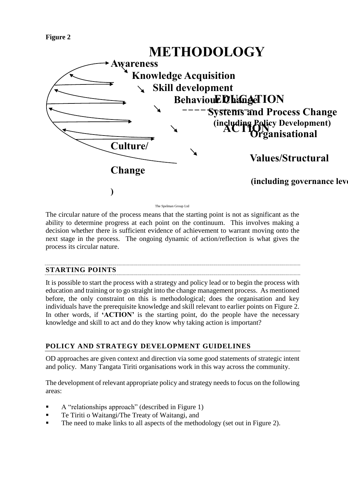



The Spelman Group Ltd

The circular nature of the process means that the starting point is not as significant as the ability to determine progress at each point on the continuum. This involves making a decision whether there is sufficient evidence of achievement to warrant moving onto the next stage in the process. The ongoing dynamic of action/reflection is what gives the process its circular nature.

## **STARTING POINTS**

It is possible to start the process with a strategy and policy lead or to begin the process with education and training or to go straight into the change management process. As mentioned before, the only constraint on this is methodological; does the organisation and key individuals have the prerequisite knowledge and skill relevant to earlier points on Figure 2. In other words, if **'ACTION'** is the starting point, do the people have the necessary knowledge and skill to act and do they know why taking action is important?

# **POLICY AND STRATEGY DEVELOPMENT GUIDELINES**

OD approaches are given context and direction via some good statements of strategic intent and policy. Many Tangata Tiriti organisations work in this way across the community.

The development of relevant appropriate policy and strategy needs to focus on the following areas:

- A "relationships approach" (described in Figure 1)
- Te Tiriti o Waitangi/The Treaty of Waitangi, and
- The need to make links to all aspects of the methodology (set out in Figure 2).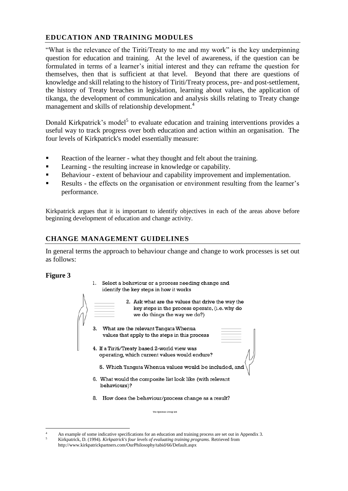## **EDUCATION AND TRAINING MODULES**

"What is the relevance of the Tiriti/Treaty to me and my work" is the key underpinning question for education and training. At the level of awareness, if the question can be formulated in terms of a learner's initial interest and they can reframe the question for themselves, then that is sufficient at that level. Beyond that there are questions of knowledge and skill relating to the history of Tiriti/Treaty process, pre- and post-settlement, the history of Treaty breaches in legislation, learning about values, the application of tikanga, the development of communication and analysis skills relating to Treaty change management and skills of relationship development.<sup>4</sup>

Donald Kirkpatrick's model<sup>5</sup> to evaluate education and training interventions provides a useful way to track progress over both education and action within an organisation. The four levels of Kirkpatrick's model essentially measure:

- Reaction of the learner what they thought and felt about the training.
- **EXECUTE:** Learning the resulting increase in knowledge or capability.
- Behaviour extent of behaviour and capability improvement and implementation.
- Results the effects on the organisation or environment resulting from the learner's performance.

Kirkpatrick argues that it is important to identify objectives in each of the areas above before beginning development of education and change activity.

#### **CHANGE MANAGEMENT GUIDELINES**

In general terms the approach to behaviour change and change to work processes is set out as follows:

#### **Figure 3**

- 1. Select a behaviour or a process needing change and identify the key steps in how it works
- 2. Ask what are the values that drive the way the key steps in the process operate, (i.e. why do we do things the way we do?) 3. What are the relevant Tangata Whenua values that apply to the steps in this process 4. If a Tiriti/Treaty based 2-world view was operating, which current values would endure?
	- 5. Which Tangata Whenua values would be included, and
	- 6. What would the composite list look like (with relevant behaviours)?
	- 8. How does the behaviour/process change as a result?

The Spelman Group Ltd.

 $\overline{a}$ An example of some indicative specifications for an education and training process are set out in Appendix 3. <sup>5</sup> Kirkpatrick, D. (1994). *Kirkpatrick's four levels of evaluating training programs.* Retrieved from <http://www.kirkpatrickpartners.com/OurPhilosophy/tabid/66/Default.aspx>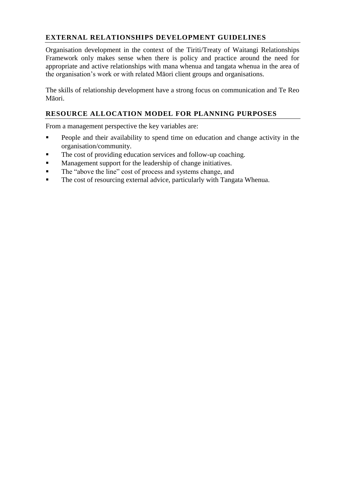# **EXTERNAL RELATIONSHIPS DEVELOPMENT GUIDELINES**

Organisation development in the context of the Tiriti/Treaty of Waitangi Relationships Framework only makes sense when there is policy and practice around the need for appropriate and active relationships with mana whenua and tangata whenua in the area of the organisation's work or with related Māori client groups and organisations.

The skills of relationship development have a strong focus on communication and Te Reo Māori.

## **RESOURCE ALLOCATION MODEL FOR PLANNING PURPOSES**

From a management perspective the key variables are:

- People and their availability to spend time on education and change activity in the organisation/community.
- The cost of providing education services and follow-up coaching.
- **Management support for the leadership of change initiatives.**
- The "above the line" cost of process and systems change, and
- The cost of resourcing external advice, particularly with Tangata Whenua.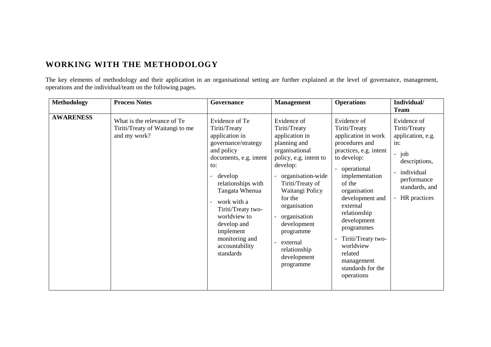# **WORKING WITH THE METHODOLOGY**

The key elements of methodology and their application in an organisational setting are further explained at the level of governance, management, operations and the individual/team on the following pages.

| <b>Methodology</b> | <b>Process Notes</b>                                                           | Governance                                                                                                                                                                                                                                                                                                                               | <b>Management</b>                                                                                                                                                                                                                                                                                                 | <b>Operations</b>                                                                                                                                                                                                                                                                                                                                                                    | Individual/<br><b>Team</b>                                                                                                                      |
|--------------------|--------------------------------------------------------------------------------|------------------------------------------------------------------------------------------------------------------------------------------------------------------------------------------------------------------------------------------------------------------------------------------------------------------------------------------|-------------------------------------------------------------------------------------------------------------------------------------------------------------------------------------------------------------------------------------------------------------------------------------------------------------------|--------------------------------------------------------------------------------------------------------------------------------------------------------------------------------------------------------------------------------------------------------------------------------------------------------------------------------------------------------------------------------------|-------------------------------------------------------------------------------------------------------------------------------------------------|
| <b>AWARENESS</b>   | What is the relevance of Te<br>Tiriti/Treaty of Waitangi to me<br>and my work? | Evidence of Te<br>Tiriti/Treaty<br>application in<br>governance/strategy<br>and policy<br>documents, e.g. intent<br>to:<br>develop<br>relationships with<br>Tangata Whenua<br>work with a<br>$\overline{\phantom{a}}$<br>Tiriti/Treaty two-<br>worldview to<br>develop and<br>implement<br>monitoring and<br>accountability<br>standards | Evidence of<br>Tiriti/Treaty<br>application in<br>planning and<br>organisational<br>policy, e.g. intent to<br>develop:<br>organisation-wide<br>Tiriti/Treaty of<br>Waitangi Policy<br>for the<br>organisation<br>organisation<br>development<br>programme<br>external<br>relationship<br>development<br>programme | Evidence of<br>Tiriti/Treaty<br>application in work<br>procedures and<br>practices, e.g. intent<br>to develop:<br>operational<br>implementation<br>of the<br>organisation<br>development and<br>external<br>relationship<br>development<br>programmes<br>Tiriti/Treaty two-<br>$\qquad \qquad \blacksquare$<br>worldview<br>related<br>management<br>standards for the<br>operations | Evidence of<br>Tiriti/Treaty<br>application, e.g.<br>in:<br>job<br>descriptions,<br>individual<br>performance<br>standards, and<br>HR practices |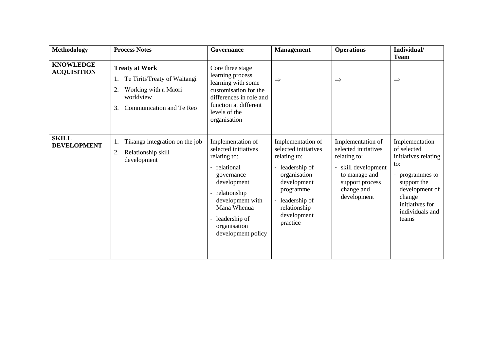| <b>Methodology</b>                     | <b>Process Notes</b>                                                                                                                     | Governance                                                                                                                                                                                                           | <b>Management</b>                                                                                                                                                                      | <b>Operations</b>                                                                                                                               | Individual/<br><b>Team</b>                                                                                                                                                   |
|----------------------------------------|------------------------------------------------------------------------------------------------------------------------------------------|----------------------------------------------------------------------------------------------------------------------------------------------------------------------------------------------------------------------|----------------------------------------------------------------------------------------------------------------------------------------------------------------------------------------|-------------------------------------------------------------------------------------------------------------------------------------------------|------------------------------------------------------------------------------------------------------------------------------------------------------------------------------|
| <b>KNOWLEDGE</b><br><b>ACQUISITION</b> | <b>Treaty at Work</b><br>Te Tiriti/Treaty of Waitangi<br>1.<br>Working with a Māori<br>2.<br>worldview<br>Communication and Te Reo<br>3. | Core three stage<br>learning process<br>learning with some<br>customisation for the<br>differences in role and<br>function at different<br>levels of the<br>organisation                                             | $\Rightarrow$                                                                                                                                                                          | $\Rightarrow$                                                                                                                                   | $\Rightarrow$                                                                                                                                                                |
| <b>SKILL</b><br><b>DEVELOPMENT</b>     | Tikanga integration on the job<br>1.<br>Relationship skill<br>2.<br>development                                                          | Implementation of<br>selected initiatives<br>relating to:<br>- relational<br>governance<br>development<br>- relationship<br>development with<br>Mana Whenua<br>- leadership of<br>organisation<br>development policy | Implementation of<br>selected initiatives<br>relating to:<br>- leadership of<br>organisation<br>development<br>programme<br>- leadership of<br>relationship<br>development<br>practice | Implementation of<br>selected initiatives<br>relating to:<br>skill development<br>to manage and<br>support process<br>change and<br>development | Implementation<br>of selected<br>initiatives relating<br>to:<br>programmes to<br>۰<br>support the<br>development of<br>change<br>initiatives for<br>individuals and<br>teams |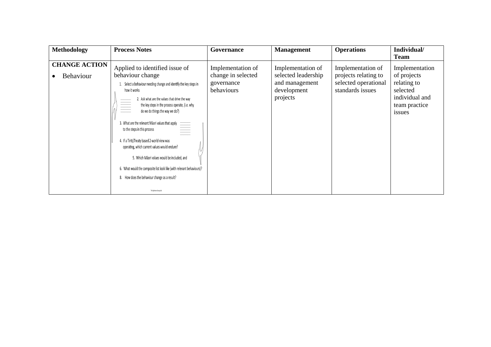| Methodology                              | <b>Process Notes</b>                                                                                                                                                                                                                                                                                                                                                                                                                                                                                                                                                                                                                                                               | <b>Governance</b>                                                   | <b>Management</b>                                                                     | <b>Operations</b>                                                                     | Individual/<br><b>Team</b>                                                                            |
|------------------------------------------|------------------------------------------------------------------------------------------------------------------------------------------------------------------------------------------------------------------------------------------------------------------------------------------------------------------------------------------------------------------------------------------------------------------------------------------------------------------------------------------------------------------------------------------------------------------------------------------------------------------------------------------------------------------------------------|---------------------------------------------------------------------|---------------------------------------------------------------------------------------|---------------------------------------------------------------------------------------|-------------------------------------------------------------------------------------------------------|
| <b>CHANGE ACTION</b><br><b>Behaviour</b> | Applied to identified issue of<br>behaviour change<br>Select a behaviour needing change and identify the key steps in<br>how it works<br>2. Ask what are the values that drive the way<br>the key steps in the process operate, (i.e. why<br>$\equiv$<br>do we do things the way we do?)<br>3. What are the relevant Mãori values that apply<br>to the steps in this process<br>4. If a Tiriti/Treaty based 2-world view was<br>operating, which current values would endure?<br>5. Which Mäori values would be included, and<br>6. What would the composite list look like (with relevant behaviours)?<br>8. How does the behaviour change as a result?<br>The Spelman Group Ltd. | Implementation of<br>change in selected<br>governance<br>behaviours | Implementation of<br>selected leadership<br>and management<br>development<br>projects | Implementation of<br>projects relating to<br>selected operational<br>standards issues | Implementation<br>of projects<br>relating to<br>selected<br>individual and<br>team practice<br>issues |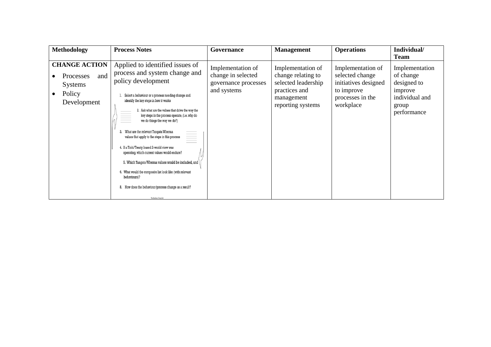| Methodology                                                                                | <b>Process Notes</b>                                                                                                                                                                                                                                                                                                                                                                                                                                                                                                                                                                                                                                                                                                                                            | <b>Governance</b>                                                              | <b>Management</b>                                                                                                  | <b>Operations</b>                                                                                           | Individual/<br><b>Team</b>                                                                      |
|--------------------------------------------------------------------------------------------|-----------------------------------------------------------------------------------------------------------------------------------------------------------------------------------------------------------------------------------------------------------------------------------------------------------------------------------------------------------------------------------------------------------------------------------------------------------------------------------------------------------------------------------------------------------------------------------------------------------------------------------------------------------------------------------------------------------------------------------------------------------------|--------------------------------------------------------------------------------|--------------------------------------------------------------------------------------------------------------------|-------------------------------------------------------------------------------------------------------------|-------------------------------------------------------------------------------------------------|
| <b>CHANGE ACTION</b><br>and<br><b>Processes</b><br><b>Systems</b><br>Policy<br>Development | Applied to identified issues of<br>process and system change and<br>policy development<br>Select a behaviour or a process needing change and<br>identify the key steps in how it works<br>2. Ask what are the values that drive the way the<br>key steps in the process operate, (i.e. why do<br>we do things the way we do?)<br>What are the relevant Tangata Whenua<br>$\equiv$<br>values that apply to the steps in this process<br>4. If a Tiriti/Treaty based 2-world view was<br>operating, which current values would endure?<br>5. Which Tangata Whenua values would be included, and \<br>. What would the composite list look like (with relevant<br>behaviours)?<br>8. How does the behaviour/process change as a result?<br>The Spelman County Ltd. | Implementation of<br>change in selected<br>governance processes<br>and systems | Implementation of<br>change relating to<br>selected leadership<br>practices and<br>management<br>reporting systems | Implementation of<br>selected change<br>initiatives designed<br>to improve<br>processes in the<br>workplace | Implementation<br>of change<br>designed to<br>improve<br>individual and<br>group<br>performance |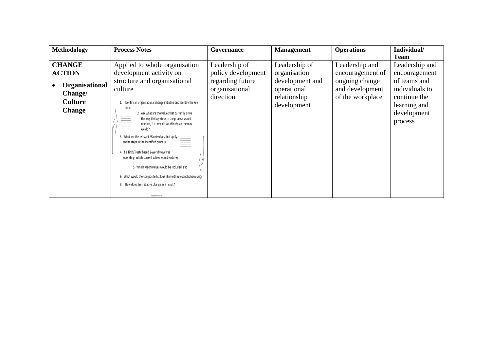| Methodology    | <b>Process Notes</b>                                                                                                                                      | Governance                  | <b>Management</b>                          | <b>Operations</b> | Individual/                  |
|----------------|-----------------------------------------------------------------------------------------------------------------------------------------------------------|-----------------------------|--------------------------------------------|-------------------|------------------------------|
|                |                                                                                                                                                           |                             |                                            |                   | <b>Team</b>                  |
| <b>CHANGE</b>  | Applied to whole organisation                                                                                                                             | Leadership of               | Leadership of                              | Leadership and    | Leadership and               |
| <b>ACTION</b>  | development activity on                                                                                                                                   | policy development          | organisation                               | encouragement of  | encouragement                |
| Organisational | structure and organisational                                                                                                                              | regarding future            | development and                            | ongoing change    | of teams and                 |
|                | culture<br>Identify an organisational change initiative and identify the key<br>steps<br>2. Ask what are the values that currently drive                  | organisational<br>direction | operational<br>relationship<br>development | and development   | individuals to               |
| Change/        |                                                                                                                                                           |                             |                                            | of the workplace  | continue the<br>learning and |
| <b>Culture</b> |                                                                                                                                                           |                             |                                            |                   |                              |
| <b>Change</b>  |                                                                                                                                                           |                             |                                            |                   | development                  |
|                | the way the key steps in the process would<br>$\equiv$<br>operate, (i.e. why do we think/plan the way                                                     |                             |                                            |                   | process                      |
|                |                                                                                                                                                           |                             |                                            |                   |                              |
|                | We uo:,<br>3. What are the relevant Mãori values that apply<br>$\begin{array}{c}\n3. & \text{What are the relevant Măori values that apply}\n\end{array}$ |                             |                                            |                   |                              |
|                |                                                                                                                                                           |                             |                                            |                   |                              |
|                | 4. If a Tiriti/Treaty based 2-world view was<br>operating, which current values would endure?                                                             |                             |                                            |                   |                              |
|                |                                                                                                                                                           |                             |                                            |                   |                              |
|                | 5. Which Māori values would be included, and                                                                                                              |                             |                                            |                   |                              |
|                | 6. What would the composite list look like (with relevant behaviours)?                                                                                    |                             |                                            |                   |                              |
|                | 8. How does the initiative change as a result?                                                                                                            |                             |                                            |                   |                              |
|                | The Spelman Group Ltd.                                                                                                                                    |                             |                                            |                   |                              |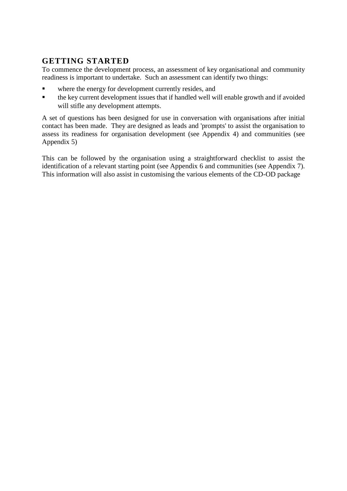# **GETTING STARTED**

To commence the development process, an assessment of key organisational and community readiness is important to undertake. Such an assessment can identify two things:

- where the energy for development currently resides, and
- the key current development issues that if handled well will enable growth and if avoided will stifle any development attempts.

A set of questions has been designed for use in conversation with organisations after initial contact has been made. They are designed as leads and 'prompts' to assist the organisation to assess its readiness for organisation development (see Appendix 4) and communities (see Appendix 5)

This can be followed by the organisation using a straightforward checklist to assist the identification of a relevant starting point (see Appendix 6 and communities (see Appendix 7). This information will also assist in customising the various elements of the CD-OD package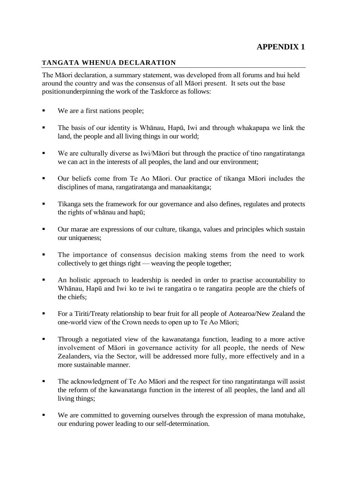## **TANGATA WHENUA DECLARATION**

The Māori declaration, a summary statement, was developed from all forums and hui held around the country and was the consensus of all Māori present. It sets out the base positionunderpinning the work of the Taskforce as follows:

- We are a first nations people;
- The basis of our identity is Whānau, Hapū, Iwi and through whakapapa we link the land, the people and all living things in our world;
- We are culturally diverse as Iwi/Māori but through the practice of tino rangatiratanga we can act in the interests of all peoples, the land and our environment;
- Our beliefs come from Te Ao Māori. Our practice of tikanga Māori includes the disciplines of mana, rangatiratanga and manaakitanga;
- **Tikanga sets the framework for our governance and also defines, regulates and protects** the rights of whānau and hapū;
- Our marae are expressions of our culture, tikanga, values and principles which sustain our uniqueness;
- **The importance of consensus decision making stems from the need to work** collectively to get things right — weaving the people together;
- An holistic approach to leadership is needed in order to practise accountability to Whānau, Hapū and Iwi ko te iwi te rangatira o te rangatira people are the chiefs of the chiefs;
- **For a Tiriti/Treaty relationship to bear fruit for all people of Aotearoa/New Zealand the** one-world view of the Crown needs to open up to Te Ao Māori;
- **Through a negotiated view of the kawanatanga function, leading to a more active** involvement of Māori in governance activity for all people, the needs of New Zealanders, via the Sector, will be addressed more fully, more effectively and in a more sustainable manner.
- The acknowledgment of Te Ao Māori and the respect for tino rangatiratanga will assist the reform of the kawanatanga function in the interest of all peoples, the land and all living things;
- We are committed to governing ourselves through the expression of mana motuhake, our enduring power leading to our self-determination.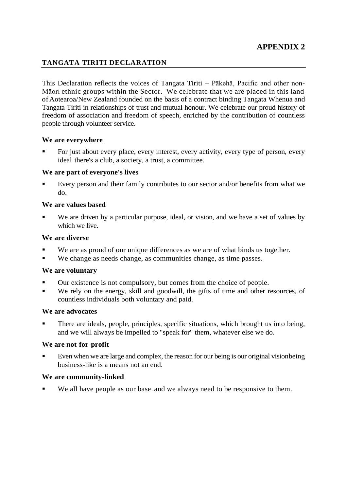## **TANGATA TIRITI DECLARATION**

This Declaration reflects the voices of Tangata Tiriti – Pākehā, Pacific and other non-Māori ethnic groups within the Sector. We celebrate that we are placed in this land ofAotearoa/New Zealand founded on the basis of a contract binding Tangata Whenua and Tangata Tiriti in relationships of trust and mutual honour. We celebrate our proud history of freedom of association and freedom of speech, enriched by the contribution of countless people through volunteer service.

#### **We are everywhere**

 For just about every place, every interest, every activity, every type of person, every ideal there's a club, a society, a trust, a committee.

#### **We are part of everyone's lives**

 Every person and their family contributes to our sector and/or benefits from what we do.

#### **We are values based**

 We are driven by a particular purpose, ideal, or vision, and we have a set of values by which we live.

#### **We are diverse**

- We are as proud of our unique differences as we are of what binds us together.
- We change as needs change, as communities change, as time passes.

#### **We are voluntary**

- Our existence is not compulsory, but comes from the choice of people.
- We rely on the energy, skill and goodwill, the gifts of time and other resources, of countless individuals both voluntary and paid.

#### **We are advocates**

 There are ideals, people, principles, specific situations, which brought us into being, and we will always be impelled to "speak for" them, whatever else we do.

#### **We are not-for-profit**

 Even when we are large and complex, the reason for our being is our original visionbeing business-like is a means not an end.

#### **We are community-linked**

We all have people as our base-and we always need to be responsive to them.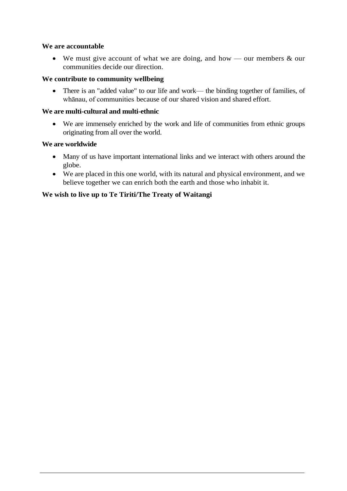#### **We are accountable**

• We must give account of what we are doing, and how — our members  $\&$  our communities decide our direction.

#### **We contribute to community wellbeing**

 There is an "added value" to our life and work— the binding together of families, of whānau, of communities because of our shared vision and shared effort.

#### **We are multi-cultural and multi-ethnic**

 We are immensely enriched by the work and life of communities from ethnic groups originating from all over the world.

#### **We are worldwide**

- Many of us have important international links and we interact with others around the globe.
- We are placed in this one world, with its natural and physical environment, and we believe together we can enrich both the earth and those who inhabit it.

#### **We wish to live up to Te Tiriti/The Treaty of Waitangi**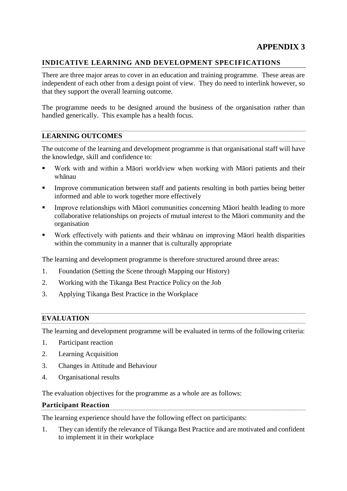# **APPENDIX 3**

#### **INDICATIVE LEARNING AND DEVELOPMENT SPECIFICATIONS**

There are three major areas to cover in an education and training programme. These areas are independent of each other from a design point of view. They do need to interlink however, so that they support the overall learning outcome.

The programme needs to be designed around the business of the organisation rather than handled generically. This example has a health focus.

#### **LEARNING OUTCOMES**

The outcome of the learning and development programme is that organisational staff will have the knowledge, skill and confidence to:

- Work with and within a Māori worldview when working with Māori patients and their whānau
- Improve communication between staff and patients resulting in both parties being better informed and able to work together more effectively
- Improve relationships with Māori communities concerning Māori health leading to more collaborative relationships on projects of mutual interest to the Māori community and the organisation
- Work effectively with patients and their whānau on improving Māori health disparities within the community in a manner that is culturally appropriate

The learning and development programme is therefore structured around three areas:

- 1. Foundation (Setting the Scene through Mapping our History)
- 2. Working with the Tikanga Best Practice Policy on the Job
- 3. Applying Tikanga Best Practice in the Workplace

#### **EVALUATION**

The learning and development programme will be evaluated in terms of the following criteria:

- 1. Participant reaction
- 2. Learning Acquisition
- 3. Changes in Attitude and Behaviour
- 4. Organisational results

The evaluation objectives for the programme as a whole are as follows:

#### **Participant Reaction**

The learning experience should have the following effect on participants:

1. They can identify the relevance of Tikanga Best Practice and are motivated and confident to implement it in their workplace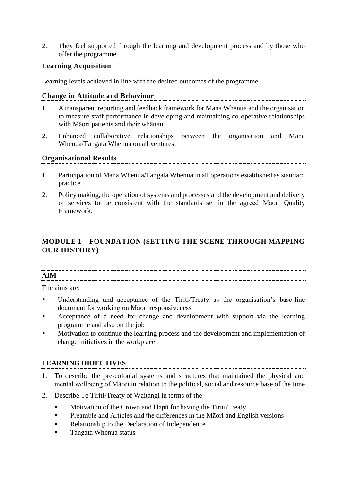2. They feel supported through the learning and development process and by those who offer the programme

## **Learning Acquisition**

Learning levels achieved in line with the desired outcomes of the programme.

#### **Change in Attitude and Behaviour**

- 1. A transparent reporting and feedback framework for Mana Whenua and the organisation to measure staff performance in developing and maintaining co-operative relationships with Māori patients and their whānau.
- 2. Enhanced collaborative relationships between the organisation and Mana Whenua/Tangata Whenua on all ventures.

#### **Organisational Results**

- 1. Participation of Mana Whenua/Tangata Whenua in all operations established as standard practice.
- 2. Policy making, the operation of systems and processes and the development and delivery of services to be consistent with the standards set in the agreed Māori Quality Framework.

# **MODULE 1 – FOUNDATION (SETTING THE SCENE THROUGH MAPPING OUR HISTORY)**

# **AIM**

The aims are:

- Understanding and acceptance of the Tiriti/Treaty as the organisation's base-line document for working on Māori responsiveness
- Acceptance of a need for change and development with support via the learning programme and also on the job
- Motivation to continue the learning process and the development and implementation of change initiatives in the workplace

## **LEARNING OBJECTIVES**

- 1. To describe the pre-colonial systems and structures that maintained the physical and mental wellbeing of Māori in relation to the political, social and resource base of the time
- 2. Describe Te Tiriti/Treaty of Waitangi in terms of the
	- **Motivation of the Crown and Hapū for having the Tiriti/Treaty**
	- **Preamble and Articles and the differences in the Maori and English versions**
	- Relationship to the Declaration of Independence
	- Tangata Whenua status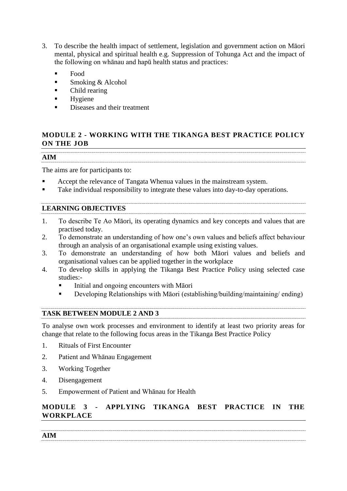- 3. To describe the health impact of settlement, legislation and government action on Māori mental, physical and spiritual health e.g. Suppression of Tohunga Act and the impact of the following on whānau and hapū health status and practices:
	- Food
	- **Smoking & Alcohol**
	- Child rearing
	- $\blacksquare$  Hygiene
	- Diseases and their treatment

# **MODULE 2 - WORKING WITH THE TIKANGA BEST PRACTICE POLICY ON THE JOB**

**AIM**

The aims are for participants to:

- Accept the relevance of Tangata Whenua values in the mainstream system.
- Take individual responsibility to integrate these values into day-to-day operations.

# **LEARNING OBJECTIVES**

- 1. To describe Te Ao Māori, its operating dynamics and key concepts and values that are practised today.
- 2. To demonstrate an understanding of how one's own values and beliefs affect behaviour through an analysis of an organisational example using existing values.
- 3. To demonstrate an understanding of how both Māori values and beliefs and organisational values can be applied together in the workplace
- 4. To develop skills in applying the Tikanga Best Practice Policy using selected case studies:-
	- Initial and ongoing encounters with Māori
	- Developing Relationships with Māori (establishing/building/maintaining/ ending)

# **TASK BETWEEN MODULE 2 AND 3**

To analyse own work processes and environment to identify at least two priority areas for change that relate to the following focus areas in the Tikanga Best Practice Policy

- 1. Rituals of First Encounter
- 2. Patient and Whānau Engagement
- 3. Working Together
- 4. Disengagement
- 5. Empowerment of Patient and Whānau for Health

# **MODULE 3 - APPLYING TIKANGA BEST PRACTICE IN THE WORKPLACE**

**AIM**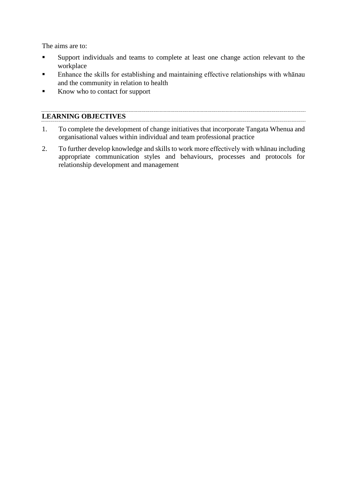The aims are to:

- Support individuals and teams to complete at least one change action relevant to the workplace
- **Enhance the skills for establishing and maintaining effective relationships with whānau** and the community in relation to health
- Know who to contact for support

## **LEARNING OBJECTIVES**

- 1. To complete the development of change initiatives that incorporate Tangata Whenua and organisational values within individual and team professional practice
- 2. To further develop knowledge and skills to work more effectively with whānau including appropriate communication styles and behaviours, processes and protocols for relationship development and management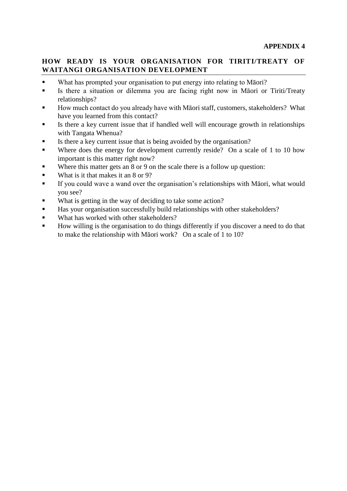## **HOW READY IS YOUR ORGANISATION FOR TIRITI/TREATY OF WAITANGI ORGANISATION DEVELOPMENT**

- What has prompted your organisation to put energy into relating to Māori?
- Is there a situation or dilemma you are facing right now in Māori or Tiriti/Treaty relationships?
- How much contact do you already have with Māori staff, customers, stakeholders? What have you learned from this contact?
- Is there a key current issue that if handled well will encourage growth in relationships with Tangata Whenua?
- Is there a key current issue that is being avoided by the organisation?
- Where does the energy for development currently reside? On a scale of 1 to 10 how important is this matter right now?
- Where this matter gets an 8 or 9 on the scale there is a follow up question:
- What is it that makes it an  $8$  or  $9$ ?
- If you could wave a wand over the organisation's relationships with Māori, what would you see?
- What is getting in the way of deciding to take some action?
- Has your organisation successfully build relationships with other stakeholders?
- What has worked with other stakeholders?
- How willing is the organisation to do things differently if you discover a need to do that to make the relationship with Māori work? On a scale of 1 to 10?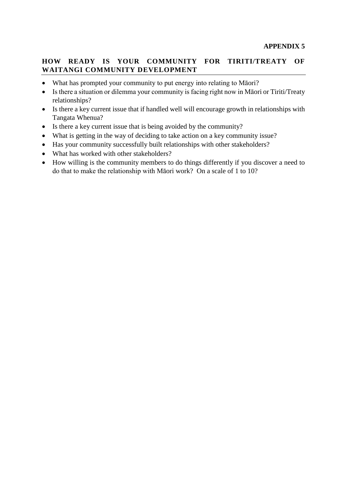## **HOW READY IS YOUR COMMUNITY FOR TIRITI/TREATY OF WAITANGI COMMUNITY DEVELOPMENT**

- What has prompted your community to put energy into relating to Māori?
- Is there a situation or dilemma your community is facing right now in Māori or Tiriti/Treaty relationships?
- Is there a key current issue that if handled well will encourage growth in relationships with Tangata Whenua?
- Is there a key current issue that is being avoided by the community?
- What is getting in the way of deciding to take action on a key community issue?
- Has your community successfully built relationships with other stakeholders?
- What has worked with other stakeholders?
- How willing is the community members to do things differently if you discover a need to do that to make the relationship with Māori work? On a scale of 1 to 10?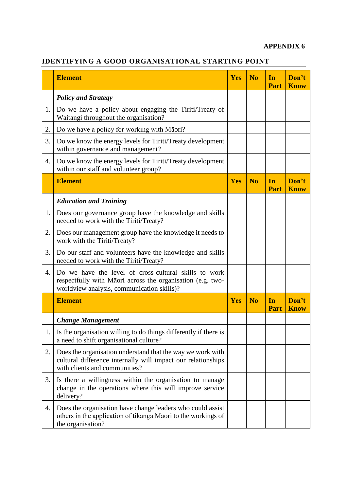## **APPENDIX 6**

# **IDENTIFYING A GOOD ORGANISATIONAL STARTING POINT**

|    | <b>Element</b>                                                                                                                                                    | <b>Yes</b> | N <sub>0</sub> | In<br><b>Part</b> | Don't<br><b>Know</b> |
|----|-------------------------------------------------------------------------------------------------------------------------------------------------------------------|------------|----------------|-------------------|----------------------|
|    | <b>Policy and Strategy</b>                                                                                                                                        |            |                |                   |                      |
| 1. | Do we have a policy about engaging the Tiriti/Treaty of<br>Waitangi throughout the organisation?                                                                  |            |                |                   |                      |
| 2. | Do we have a policy for working with Māori?                                                                                                                       |            |                |                   |                      |
| 3. | Do we know the energy levels for Tiriti/Treaty development<br>within governance and management?                                                                   |            |                |                   |                      |
| 4. | Do we know the energy levels for Tiriti/Treaty development<br>within our staff and volunteer group?                                                               |            |                |                   |                      |
|    | <b>Element</b>                                                                                                                                                    | <b>Yes</b> | N <sub>0</sub> | In<br><b>Part</b> | Don't<br><b>Know</b> |
|    | <b>Education and Training</b>                                                                                                                                     |            |                |                   |                      |
| 1. | Does our governance group have the knowledge and skills<br>needed to work with the Tiriti/Treaty?                                                                 |            |                |                   |                      |
| 2. | Does our management group have the knowledge it needs to<br>work with the Tiriti/Treaty?                                                                          |            |                |                   |                      |
| 3. | Do our staff and volunteers have the knowledge and skills<br>needed to work with the Tiriti/Treaty?                                                               |            |                |                   |                      |
| 4. | Do we have the level of cross-cultural skills to work<br>respectfully with Māori across the organisation (e.g. two-<br>worldview analysis, communication skills)? |            |                |                   |                      |
|    | <b>Element</b>                                                                                                                                                    | Yes        | N <sub>0</sub> | In<br>Part        | Don't<br><b>Know</b> |
|    | <b>Change Management</b>                                                                                                                                          |            |                |                   |                      |
| 1. | Is the organisation willing to do things differently if there is<br>a need to shift organisational culture?                                                       |            |                |                   |                      |
| 2. | Does the organisation understand that the way we work with<br>cultural difference internally will impact our relationships<br>with clients and communities?       |            |                |                   |                      |
| 3. | Is there a willingness within the organisation to manage<br>change in the operations where this will improve service<br>delivery?                                 |            |                |                   |                      |
| 4. | Does the organisation have change leaders who could assist<br>others in the application of tikanga Māori to the workings of<br>the organisation?                  |            |                |                   |                      |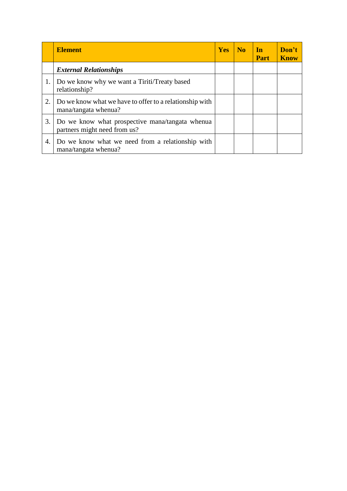|    | <b>Element</b>                                                                  | <b>Yes</b> | N <sub>0</sub> | <b>In</b><br><b>Part</b> | Don't<br><b>Know</b> |
|----|---------------------------------------------------------------------------------|------------|----------------|--------------------------|----------------------|
|    | <b>External Relationships</b>                                                   |            |                |                          |                      |
|    | Do we know why we want a Tiriti/Treaty based<br>relationship?                   |            |                |                          |                      |
| 2. | Do we know what we have to offer to a relationship with<br>mana/tangata whenua? |            |                |                          |                      |
| 3. | Do we know what prospective mana/tangata whenua<br>partners might need from us? |            |                |                          |                      |
| 4. | Do we know what we need from a relationship with<br>mana/tangata whenua?        |            |                |                          |                      |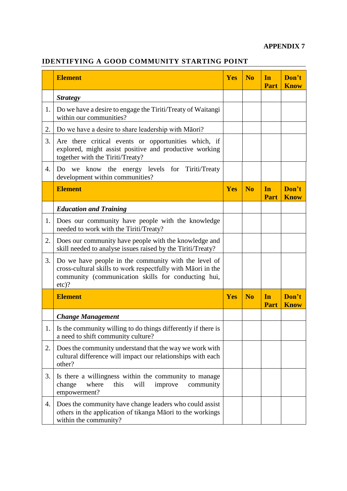# **APPENDIX 7**

# **IDENTIFYING A GOOD COMMUNITY STARTING POINT**

|    | <b>Element</b>                                                                                                                                                                         | <b>Yes</b> | N <sub>0</sub> | In<br>Part        | Don't<br><b>Know</b> |
|----|----------------------------------------------------------------------------------------------------------------------------------------------------------------------------------------|------------|----------------|-------------------|----------------------|
|    | <b>Strategy</b>                                                                                                                                                                        |            |                |                   |                      |
| 1. | Do we have a desire to engage the Tiriti/Treaty of Waitangi<br>within our communities?                                                                                                 |            |                |                   |                      |
| 2. | Do we have a desire to share leadership with Māori?                                                                                                                                    |            |                |                   |                      |
| 3. | Are there critical events or opportunities which, if<br>explored, might assist positive and productive working<br>together with the Tiriti/Treaty?                                     |            |                |                   |                      |
| 4. | Do we know the energy levels for Tiriti/Treaty<br>development within communities?                                                                                                      |            |                |                   |                      |
|    | <b>Element</b>                                                                                                                                                                         | Yes        | N <sub>o</sub> | In<br><b>Part</b> | Don't<br><b>Know</b> |
|    | <b>Education and Training</b>                                                                                                                                                          |            |                |                   |                      |
| 1. | Does our community have people with the knowledge<br>needed to work with the Tiriti/Treaty?                                                                                            |            |                |                   |                      |
| 2. | Does our community have people with the knowledge and<br>skill needed to analyse issues raised by the Tiriti/Treaty?                                                                   |            |                |                   |                      |
| 3. | Do we have people in the community with the level of<br>cross-cultural skills to work respectfully with Māori in the<br>community (communication skills for conducting hui,<br>$etc$ ? |            |                |                   |                      |
|    | <b>Element</b>                                                                                                                                                                         | Yes        | N <sub>0</sub> | In<br>Part        | Don't<br><b>Know</b> |
|    | <b>Change Management</b>                                                                                                                                                               |            |                |                   |                      |
|    | Is the community willing to do things differently if there is<br>a need to shift community culture?                                                                                    |            |                |                   |                      |
| 2. | Does the community understand that the way we work with<br>cultural difference will impact our relationships with each<br>other?                                                       |            |                |                   |                      |
| 3. | Is there a willingness within the community to manage<br>where<br>change<br>improve<br>community<br>this<br>will<br>empowerment?                                                       |            |                |                   |                      |
| 4. | Does the community have change leaders who could assist<br>others in the application of tikanga Māori to the workings<br>within the community?                                         |            |                |                   |                      |